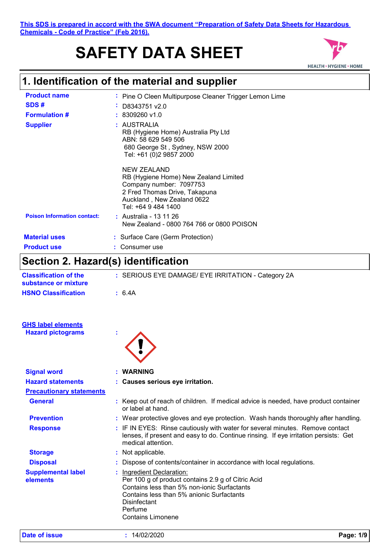# **SAFETY DATA SHEET**



### **1. Identification of the material and supplier**

| <b>Product name</b><br>SDS#<br><b>Formulation #</b> | : Pine O Cleen Multipurpose Cleaner Trigger Lemon Lime<br>D8343751 v2.0<br>$\mathbf{m}$<br>$: 8309260$ v1.0                                                           |
|-----------------------------------------------------|-----------------------------------------------------------------------------------------------------------------------------------------------------------------------|
| <b>Supplier</b>                                     | : AUSTRALIA<br>RB (Hygiene Home) Australia Pty Ltd<br>ABN: 58 629 549 506<br>680 George St, Sydney, NSW 2000<br>Tel: +61 (0)2 9857 2000                               |
|                                                     | NEW ZEALAND<br>RB (Hygiene Home) New Zealand Limited<br>Company number: 7097753<br>2 Fred Thomas Drive, Takapuna<br>Auckland, New Zealand 0622<br>Tel: +64 9 484 1400 |
| <b>Poison Information contact:</b>                  | : Australia - 13 11 26<br>New Zealand - 0800 764 766 or 0800 POISON                                                                                                   |
| <b>Material uses</b><br><b>Product use</b>          | : Surface Care (Germ Protection)<br>Consumer use                                                                                                                      |

# **Section 2. Hazard(s) identification**

| <b>Classification of the</b><br>substance or mixture | : SERIOUS EYE DAMAGE/ EYE IRRITATION - Category 2A                                                                                                                                                                                             |
|------------------------------------------------------|------------------------------------------------------------------------------------------------------------------------------------------------------------------------------------------------------------------------------------------------|
| <b>HSNO Classification</b>                           | : 6.4A                                                                                                                                                                                                                                         |
| <b>GHS label elements</b>                            |                                                                                                                                                                                                                                                |
| <b>Hazard pictograms</b>                             |                                                                                                                                                                                                                                                |
| <b>Signal word</b>                                   | <b>WARNING</b>                                                                                                                                                                                                                                 |
| <b>Hazard statements</b>                             | : Causes serious eye irritation.                                                                                                                                                                                                               |
| <b>Precautionary statements</b>                      |                                                                                                                                                                                                                                                |
| <b>General</b>                                       | : Keep out of reach of children. If medical advice is needed, have product container<br>or label at hand.                                                                                                                                      |
| <b>Prevention</b>                                    | : Wear protective gloves and eye protection. Wash hands thoroughly after handling.                                                                                                                                                             |
| <b>Response</b>                                      | : IF IN EYES: Rinse cautiously with water for several minutes. Remove contact<br>lenses, if present and easy to do. Continue rinsing. If eye irritation persists: Get<br>medical attention.                                                    |
| <b>Storage</b>                                       | : Not applicable.                                                                                                                                                                                                                              |
| <b>Disposal</b>                                      | Dispose of contents/container in accordance with local regulations.                                                                                                                                                                            |
| <b>Supplemental label</b><br>elements                | <b>Ingredient Declaration:</b><br>Per 100 g of product contains 2.9 g of Citric Acid<br>Contains less than 5% non-ionic Surfactants<br>Contains less than 5% anionic Surfactants<br><b>Disinfectant</b><br>Perfume<br><b>Contains Limonene</b> |
|                                                      |                                                                                                                                                                                                                                                |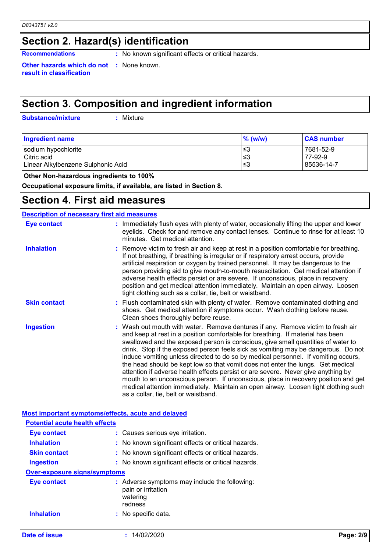# **Section 2. Hazard(s) identification**

**Recommendations :** No known significant effects or critical hazards.

**Other hazards which do not :** None known. **result in classification**

# **Section 3. Composition and ingredient information**

**Substance/mixture :**

: Mixture

| <b>Ingredient name</b>             | $\%$ (w/w) | <b>CAS number</b> |
|------------------------------------|------------|-------------------|
| sodium hypochlorite                | 3≥ ا       | 7681-52-9         |
| Citric acid                        | ∣≤3        | 77-92-9           |
| Linear Alkylbenzene Sulphonic Acid | 3≥ ا       | 85536-14-7        |

 **Other Non-hazardous ingredients to 100%**

**Occupational exposure limits, if available, are listed in Section 8.**

### **Section 4. First aid measures**

### **Description of necessary first aid measures**

| <b>Eye contact</b>  | : Immediately flush eyes with plenty of water, occasionally lifting the upper and lower<br>eyelids. Check for and remove any contact lenses. Continue to rinse for at least 10<br>minutes. Get medical attention.                                                                                                                                                                                                                                                                                                                                                                                                                                                                                                                                                                                                            |
|---------------------|------------------------------------------------------------------------------------------------------------------------------------------------------------------------------------------------------------------------------------------------------------------------------------------------------------------------------------------------------------------------------------------------------------------------------------------------------------------------------------------------------------------------------------------------------------------------------------------------------------------------------------------------------------------------------------------------------------------------------------------------------------------------------------------------------------------------------|
| <b>Inhalation</b>   | : Remove victim to fresh air and keep at rest in a position comfortable for breathing.<br>If not breathing, if breathing is irregular or if respiratory arrest occurs, provide<br>artificial respiration or oxygen by trained personnel. It may be dangerous to the<br>person providing aid to give mouth-to-mouth resuscitation. Get medical attention if<br>adverse health effects persist or are severe. If unconscious, place in recovery<br>position and get medical attention immediately. Maintain an open airway. Loosen<br>tight clothing such as a collar, tie, belt or waistband.                                                                                                                                                                                                                                 |
| <b>Skin contact</b> | : Flush contaminated skin with plenty of water. Remove contaminated clothing and<br>shoes. Get medical attention if symptoms occur. Wash clothing before reuse.<br>Clean shoes thoroughly before reuse.                                                                                                                                                                                                                                                                                                                                                                                                                                                                                                                                                                                                                      |
| <b>Ingestion</b>    | : Wash out mouth with water. Remove dentures if any. Remove victim to fresh air<br>and keep at rest in a position comfortable for breathing. If material has been<br>swallowed and the exposed person is conscious, give small quantities of water to<br>drink. Stop if the exposed person feels sick as vomiting may be dangerous. Do not<br>induce vomiting unless directed to do so by medical personnel. If vomiting occurs,<br>the head should be kept low so that vomit does not enter the lungs. Get medical<br>attention if adverse health effects persist or are severe. Never give anything by<br>mouth to an unconscious person. If unconscious, place in recovery position and get<br>medical attention immediately. Maintain an open airway. Loosen tight clothing such<br>as a collar, tie, belt or waistband. |

| Most important symptoms/effects, acute and delayed |                                                                                            |           |  |
|----------------------------------------------------|--------------------------------------------------------------------------------------------|-----------|--|
| <b>Potential acute health effects</b>              |                                                                                            |           |  |
| <b>Eye contact</b>                                 | : Causes serious eye irritation.                                                           |           |  |
| <b>Inhalation</b>                                  | : No known significant effects or critical hazards.                                        |           |  |
| <b>Skin contact</b>                                | : No known significant effects or critical hazards.                                        |           |  |
| <b>Ingestion</b>                                   | : No known significant effects or critical hazards.                                        |           |  |
| <b>Over-exposure signs/symptoms</b>                |                                                                                            |           |  |
| <b>Eye contact</b>                                 | : Adverse symptoms may include the following:<br>pain or irritation<br>watering<br>redness |           |  |
| <b>Inhalation</b>                                  | : No specific data.                                                                        |           |  |
| Date of issue                                      | 14/02/2020                                                                                 | Page: 2/9 |  |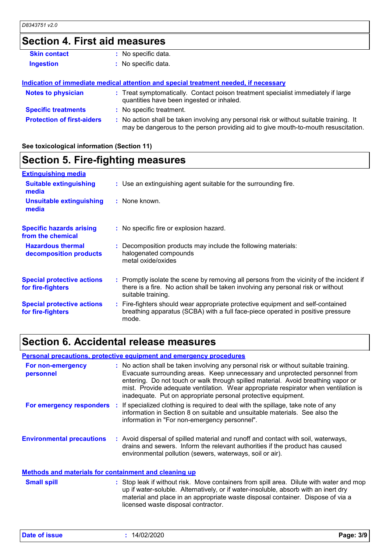# **Section 4. First aid measures**

| <b>Skin contact</b>               | : No specific data.                                                                                                                                                           |
|-----------------------------------|-------------------------------------------------------------------------------------------------------------------------------------------------------------------------------|
| <b>Ingestion</b>                  | : No specific data.                                                                                                                                                           |
|                                   |                                                                                                                                                                               |
|                                   | Indication of immediate medical attention and special treatment needed, if necessary                                                                                          |
| <b>Notes to physician</b>         | : Treat symptomatically. Contact poison treatment specialist immediately if large<br>quantities have been ingested or inhaled.                                                |
| <b>Specific treatments</b>        | : No specific treatment.                                                                                                                                                      |
| <b>Protection of first-aiders</b> | : No action shall be taken involving any personal risk or without suitable training. It<br>may be dangerous to the person providing aid to give mouth-to-mouth resuscitation. |

### **See toxicological information (Section 11)**

# **Section 5. Fire-fighting measures**

| <b>Extinguishing media</b>                             |                                                                                                                                                                                                     |
|--------------------------------------------------------|-----------------------------------------------------------------------------------------------------------------------------------------------------------------------------------------------------|
| <b>Suitable extinguishing</b><br>media                 | : Use an extinguishing agent suitable for the surrounding fire.                                                                                                                                     |
| <b>Unsuitable extinguishing</b><br>media               | : None known.                                                                                                                                                                                       |
| <b>Specific hazards arising</b><br>from the chemical   | : No specific fire or explosion hazard.                                                                                                                                                             |
| <b>Hazardous thermal</b><br>decomposition products     | : Decomposition products may include the following materials:<br>halogenated compounds<br>metal oxide/oxides                                                                                        |
| <b>Special protective actions</b><br>for fire-fighters | : Promptly isolate the scene by removing all persons from the vicinity of the incident if<br>there is a fire. No action shall be taken involving any personal risk or without<br>suitable training. |
| <b>Special protective actions</b><br>for fire-fighters | : Fire-fighters should wear appropriate protective equipment and self-contained<br>breathing apparatus (SCBA) with a full face-piece operated in positive pressure<br>mode.                         |

### **Section 6. Accidental release measures**

### **Personal precautions, protective equipment and emergency procedures**

| For non-emergency<br>personnel                               | : No action shall be taken involving any personal risk or without suitable training.<br>Evacuate surrounding areas. Keep unnecessary and unprotected personnel from<br>entering. Do not touch or walk through spilled material. Avoid breathing vapor or<br>mist. Provide adequate ventilation. Wear appropriate respirator when ventilation is<br>inadequate. Put on appropriate personal protective equipment. |  |
|--------------------------------------------------------------|------------------------------------------------------------------------------------------------------------------------------------------------------------------------------------------------------------------------------------------------------------------------------------------------------------------------------------------------------------------------------------------------------------------|--|
|                                                              | For emergency responders : If specialized clothing is required to deal with the spillage, take note of any<br>information in Section 8 on suitable and unsuitable materials. See also the<br>information in "For non-emergency personnel".                                                                                                                                                                       |  |
| <b>Environmental precautions</b>                             | : Avoid dispersal of spilled material and runoff and contact with soil, waterways,<br>drains and sewers. Inform the relevant authorities if the product has caused<br>environmental pollution (sewers, waterways, soil or air).                                                                                                                                                                                  |  |
| <b>Methods and materials for containment and cleaning up</b> |                                                                                                                                                                                                                                                                                                                                                                                                                  |  |
| <b>Small spill</b>                                           | : Stop leak if without risk. Move containers from spill area. Dilute with water and mop<br>up if water-soluble. Alternatively, or if water-insoluble, absorb with an inert dry<br>material and place in an appropriate waste disposal container. Dispose of via a                                                                                                                                                |  |

licensed waste disposal contractor.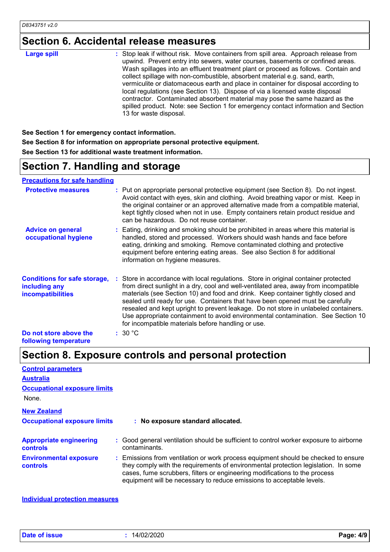# **Section 6. Accidental release measures**

| 13 for waste disposal. |
|------------------------|
|------------------------|

**See Section 1 for emergency contact information. See Section 8 for information on appropriate personal protective equipment. See Section 13 for additional waste treatment information.**

### **Section 7. Handling and storage**

**Precautions for safe handling**

| <b>Protective measures</b>                                                       | : Put on appropriate personal protective equipment (see Section 8). Do not ingest.<br>Avoid contact with eyes, skin and clothing. Avoid breathing vapor or mist. Keep in<br>the original container or an approved alternative made from a compatible material,<br>kept tightly closed when not in use. Empty containers retain product residue and<br>can be hazardous. Do not reuse container.                                                                                                                                                                                  |  |
|----------------------------------------------------------------------------------|----------------------------------------------------------------------------------------------------------------------------------------------------------------------------------------------------------------------------------------------------------------------------------------------------------------------------------------------------------------------------------------------------------------------------------------------------------------------------------------------------------------------------------------------------------------------------------|--|
| <b>Advice on general</b><br>occupational hygiene                                 | : Eating, drinking and smoking should be prohibited in areas where this material is<br>handled, stored and processed. Workers should wash hands and face before<br>eating, drinking and smoking. Remove contaminated clothing and protective<br>equipment before entering eating areas. See also Section 8 for additional<br>information on hygiene measures.                                                                                                                                                                                                                    |  |
| <b>Conditions for safe storage,</b><br>including any<br><b>incompatibilities</b> | Store in accordance with local regulations. Store in original container protected<br>from direct sunlight in a dry, cool and well-ventilated area, away from incompatible<br>materials (see Section 10) and food and drink. Keep container tightly closed and<br>sealed until ready for use. Containers that have been opened must be carefully<br>resealed and kept upright to prevent leakage. Do not store in unlabeled containers.<br>Use appropriate containment to avoid environmental contamination. See Section 10<br>for incompatible materials before handling or use. |  |
| Do not store above the<br>following temperature                                  | :30 °C                                                                                                                                                                                                                                                                                                                                                                                                                                                                                                                                                                           |  |

# **Section 8. Exposure controls and personal protection**

| <b>Control parameters</b>                         |                                                                                                                                                                                                                                                                                                                                 |
|---------------------------------------------------|---------------------------------------------------------------------------------------------------------------------------------------------------------------------------------------------------------------------------------------------------------------------------------------------------------------------------------|
| <b>Australia</b>                                  |                                                                                                                                                                                                                                                                                                                                 |
| <b>Occupational exposure limits</b>               |                                                                                                                                                                                                                                                                                                                                 |
| None.                                             |                                                                                                                                                                                                                                                                                                                                 |
| <b>New Zealand</b>                                |                                                                                                                                                                                                                                                                                                                                 |
| <b>Occupational exposure limits</b>               | : No exposure standard allocated.                                                                                                                                                                                                                                                                                               |
| <b>Appropriate engineering</b><br><b>controls</b> | : Good general ventilation should be sufficient to control worker exposure to airborne<br>contaminants.                                                                                                                                                                                                                         |
| <b>Environmental exposure</b><br><b>controls</b>  | : Emissions from ventilation or work process equipment should be checked to ensure<br>they comply with the requirements of environmental protection legislation. In some<br>cases, fume scrubbers, filters or engineering modifications to the process<br>equipment will be necessary to reduce emissions to acceptable levels. |

**Individual protection measures**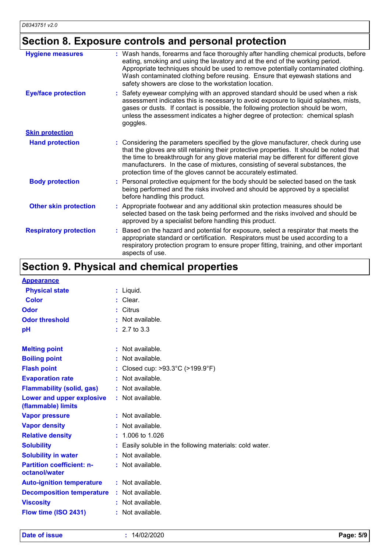# **Section 8. Exposure controls and personal protection**

| <b>Hygiene measures</b>       | : Wash hands, forearms and face thoroughly after handling chemical products, before<br>eating, smoking and using the lavatory and at the end of the working period.<br>Appropriate techniques should be used to remove potentially contaminated clothing.<br>Wash contaminated clothing before reusing. Ensure that eyewash stations and<br>safety showers are close to the workstation location.                      |
|-------------------------------|------------------------------------------------------------------------------------------------------------------------------------------------------------------------------------------------------------------------------------------------------------------------------------------------------------------------------------------------------------------------------------------------------------------------|
| <b>Eye/face protection</b>    | Safety eyewear complying with an approved standard should be used when a risk<br>assessment indicates this is necessary to avoid exposure to liquid splashes, mists,<br>gases or dusts. If contact is possible, the following protection should be worn,<br>unless the assessment indicates a higher degree of protection: chemical splash<br>goggles.                                                                 |
| <b>Skin protection</b>        |                                                                                                                                                                                                                                                                                                                                                                                                                        |
| <b>Hand protection</b>        | Considering the parameters specified by the glove manufacturer, check during use<br>that the gloves are still retaining their protective properties. It should be noted that<br>the time to breakthrough for any glove material may be different for different glove<br>manufacturers. In the case of mixtures, consisting of several substances, the<br>protection time of the gloves cannot be accurately estimated. |
| <b>Body protection</b>        | Personal protective equipment for the body should be selected based on the task<br>being performed and the risks involved and should be approved by a specialist<br>before handling this product.                                                                                                                                                                                                                      |
| <b>Other skin protection</b>  | Appropriate footwear and any additional skin protection measures should be<br>selected based on the task being performed and the risks involved and should be<br>approved by a specialist before handling this product.                                                                                                                                                                                                |
| <b>Respiratory protection</b> | Based on the hazard and potential for exposure, select a respirator that meets the<br>appropriate standard or certification. Respirators must be used according to a<br>respiratory protection program to ensure proper fitting, training, and other important<br>aspects of use.                                                                                                                                      |

# **Section 9. Physical and chemical properties**

| <b>Appearance</b>                                 |                                                          |
|---------------------------------------------------|----------------------------------------------------------|
| <b>Physical state</b>                             | $:$ Liquid.                                              |
| <b>Color</b>                                      | : Clear.                                                 |
| Odor                                              | : Citrus                                                 |
| <b>Odor threshold</b>                             | Not available.                                           |
| pH                                                | $: 2.7 \text{ to } 3.3$                                  |
| <b>Melting point</b>                              | : Not available.                                         |
| <b>Boiling point</b>                              | : Not available.                                         |
| <b>Flash point</b>                                | : Closed cup: >93.3°C (>199.9°F)                         |
| <b>Evaporation rate</b>                           | : Not available.                                         |
| <b>Flammability (solid, gas)</b>                  | : Not available.                                         |
| Lower and upper explosive<br>(flammable) limits   | : Not available.                                         |
| <b>Vapor pressure</b>                             | : Not available.                                         |
| <b>Vapor density</b>                              | : Not available.                                         |
| <b>Relative density</b>                           | $: 1.006$ to 1.026                                       |
| <b>Solubility</b>                                 | : Easily soluble in the following materials: cold water. |
| <b>Solubility in water</b>                        | : Not available.                                         |
| <b>Partition coefficient: n-</b><br>octanol/water | : Not available.                                         |
| <b>Auto-ignition temperature</b>                  | : Not available.                                         |
| <b>Decomposition temperature</b>                  | : Not available.                                         |
| <b>Viscosity</b>                                  | : Not available.                                         |
| Flow time (ISO 2431)                              | : Not available.                                         |
|                                                   |                                                          |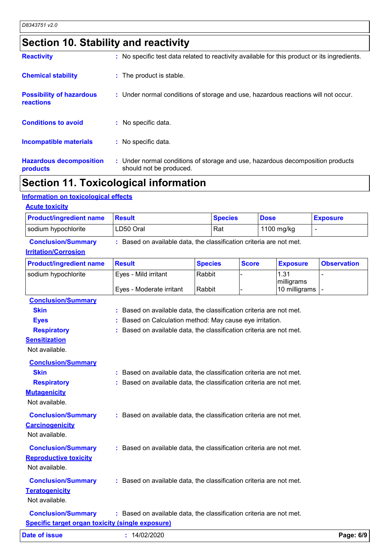# **Section 10. Stability and reactivity**

| <b>Reactivity</b>                            | : No specific test data related to reactivity available for this product or its ingredients.              |
|----------------------------------------------|-----------------------------------------------------------------------------------------------------------|
| <b>Chemical stability</b>                    | : The product is stable.                                                                                  |
| <b>Possibility of hazardous</b><br>reactions | : Under normal conditions of storage and use, hazardous reactions will not occur.                         |
| <b>Conditions to avoid</b>                   | : No specific data.                                                                                       |
| <b>Incompatible materials</b>                | : No specific data.                                                                                       |
| <b>Hazardous decomposition</b><br>products   | : Under normal conditions of storage and use, hazardous decomposition products<br>should not be produced. |

# **Section 11. Toxicological information**

### **Information on toxicological effects**

| <b>Product/ingredient name</b>                          | <b>Result</b>                                                       | <b>Species</b> |              | <b>Dose</b> |                             | <b>Exposure</b>    |
|---------------------------------------------------------|---------------------------------------------------------------------|----------------|--------------|-------------|-----------------------------|--------------------|
| sodium hypochlorite                                     | LD50 Oral                                                           | Rat            |              |             | 1100 mg/kg<br>$\mathbf{r}$  |                    |
| <b>Conclusion/Summary</b>                               | : Based on available data, the classification criteria are not met. |                |              |             |                             |                    |
| <b>Irritation/Corrosion</b>                             |                                                                     |                |              |             |                             |                    |
| <b>Product/ingredient name</b>                          | <b>Result</b>                                                       | <b>Species</b> | <b>Score</b> |             | <b>Exposure</b>             | <b>Observation</b> |
| sodium hypochlorite                                     | Eyes - Mild irritant                                                | Rabbit         |              |             | 1.31                        |                    |
|                                                         | Eyes - Moderate irritant                                            | Rabbit         |              |             | milligrams<br>10 milligrams | $\overline{a}$     |
| <b>Conclusion/Summary</b>                               |                                                                     |                |              |             |                             |                    |
| <b>Skin</b>                                             | : Based on available data, the classification criteria are not met. |                |              |             |                             |                    |
| <b>Eyes</b>                                             | Based on Calculation method: May cause eye irritation.              |                |              |             |                             |                    |
| <b>Respiratory</b>                                      | : Based on available data, the classification criteria are not met. |                |              |             |                             |                    |
| <b>Sensitization</b>                                    |                                                                     |                |              |             |                             |                    |
| Not available.                                          |                                                                     |                |              |             |                             |                    |
| <b>Conclusion/Summary</b>                               |                                                                     |                |              |             |                             |                    |
| <b>Skin</b>                                             | : Based on available data, the classification criteria are not met. |                |              |             |                             |                    |
| <b>Respiratory</b>                                      | : Based on available data, the classification criteria are not met. |                |              |             |                             |                    |
| <b>Mutagenicity</b>                                     |                                                                     |                |              |             |                             |                    |
| Not available.                                          |                                                                     |                |              |             |                             |                    |
| <b>Conclusion/Summary</b>                               | : Based on available data, the classification criteria are not met. |                |              |             |                             |                    |
| <b>Carcinogenicity</b>                                  |                                                                     |                |              |             |                             |                    |
| Not available.                                          |                                                                     |                |              |             |                             |                    |
| <b>Conclusion/Summary</b>                               | : Based on available data, the classification criteria are not met. |                |              |             |                             |                    |
| <b>Reproductive toxicity</b>                            |                                                                     |                |              |             |                             |                    |
| Not available.                                          |                                                                     |                |              |             |                             |                    |
| <b>Conclusion/Summary</b>                               | : Based on available data, the classification criteria are not met. |                |              |             |                             |                    |
| <b>Teratogenicity</b>                                   |                                                                     |                |              |             |                             |                    |
| Not available.                                          |                                                                     |                |              |             |                             |                    |
| <b>Conclusion/Summary</b>                               | : Based on available data, the classification criteria are not met. |                |              |             |                             |                    |
| <b>Specific target organ toxicity (single exposure)</b> |                                                                     |                |              |             |                             |                    |
|                                                         |                                                                     |                |              |             |                             | Page: 6/9          |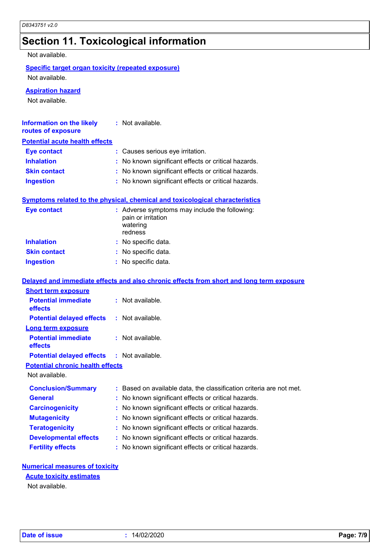# **Section 11. Toxicological information**

Not available.

### **Specific target organ toxicity (repeated exposure)** Not available.

**Aspiration hazard**

Not available.

| <b>Information on the likely</b> | : Not available. |
|----------------------------------|------------------|
|                                  |                  |

### **routes of exposure Potential acute health effects**

| . VIVIIIMI WYMIY IIVMIII VIIVVIV |                                                     |
|----------------------------------|-----------------------------------------------------|
| <b>Eye contact</b>               | : Causes serious eye irritation.                    |
| <b>Inhalation</b>                | : No known significant effects or critical hazards. |
| <b>Skin contact</b>              | : No known significant effects or critical hazards. |
| <b>Ingestion</b>                 | : No known significant effects or critical hazards. |
|                                  |                                                     |

### **Symptoms related to the physical, chemical and toxicological characteristics**

| Eye contact         | : Adverse symptoms may include the following:<br>pain or irritation<br>watering<br>redness |
|---------------------|--------------------------------------------------------------------------------------------|
| <b>Inhalation</b>   | : No specific data.                                                                        |
| <b>Skin contact</b> | : No specific data.                                                                        |
| <b>Ingestion</b>    | : No specific data.                                                                        |

### **Delayed and immediate effects and also chronic effects from short and long term exposure**

| <b>Short term exposure</b>                        |                                                                     |
|---------------------------------------------------|---------------------------------------------------------------------|
| <b>Potential immediate</b><br>effects             | $:$ Not available.                                                  |
| <b>Potential delayed effects</b>                  | : Not available.                                                    |
| <b>Long term exposure</b>                         |                                                                     |
| <b>Potential immediate</b><br>effects             | $:$ Not available.                                                  |
| <b>Potential delayed effects : Not available.</b> |                                                                     |
| <b>Potential chronic health effects</b>           |                                                                     |
| Not available.                                    |                                                                     |
| <b>Conclusion/Summary</b>                         | : Based on available data, the classification criteria are not met. |
| <b>General</b>                                    | : No known significant effects or critical hazards.                 |
| <b>Carcinogenicity</b>                            | : No known significant effects or critical hazards.                 |
| <b>Mutagenicity</b>                               | : No known significant effects or critical hazards.                 |
| <b>Teratogenicity</b>                             | : No known significant effects or critical hazards.                 |
| <b>Developmental effects</b>                      | : No known significant effects or critical hazards.                 |
| <b>Fertility effects</b>                          | : No known significant effects or critical hazards.                 |

### **Numerical measures of toxicity**

### **Acute toxicity estimates**

Not available.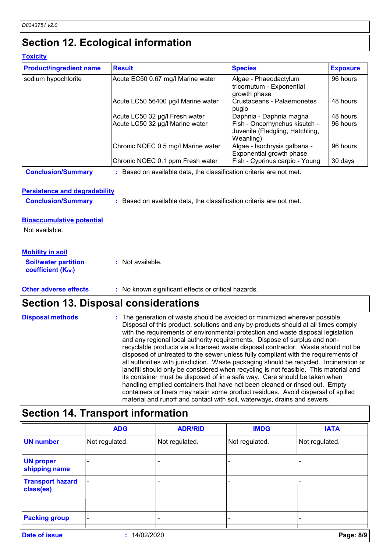**Toxicity**

# **Section 12. Ecological information**

| <b>Product/ingredient name</b> | <b>Result</b>                      | <b>Species</b>                                                                | <b>Exposure</b> |
|--------------------------------|------------------------------------|-------------------------------------------------------------------------------|-----------------|
| sodium hypochlorite            | Acute EC50 0.67 mg/l Marine water  | Algae - Phaeodactylum<br>tricornutum - Exponential<br>growth phase            | 96 hours        |
|                                | Acute LC50 56400 µg/l Marine water | Crustaceans - Palaemonetes<br>pugio                                           | 48 hours        |
|                                | Acute LC50 32 µg/l Fresh water     | Daphnia - Daphnia magna                                                       | 48 hours        |
|                                | Acute LC50 32 µg/l Marine water    | Fish - Oncorhynchus kisutch -<br>Juvenile (Fledgling, Hatchling,<br>Weanling) | 96 hours        |
|                                | Chronic NOEC 0.5 mg/l Marine water | Algae - Isochrysis galbana -<br>Exponential growth phase                      | 96 hours        |
|                                | Chronic NOEC 0.1 ppm Fresh water   | Fish - Cyprinus carpio - Young                                                | 30 days         |

**Conclusion/Summary :** Based on available data, the classification criteria are not met.

### **Persistence and degradability**

**Conclusion/Summary :** Based on available data, the classification criteria are not met.

### **Bioaccumulative potential**

Not available.

### **Mobility in soil**

**Soil/water partition coefficient (KOC) :** Not available.

#### **Other adverse effects** : No known significant effects or critical hazards.

### **Section 13. Disposal considerations**

| <b>Disposal methods</b> | : The generation of waste should be avoided or minimized wherever possible.<br>Disposal of this product, solutions and any by-products should at all times comply<br>with the requirements of environmental protection and waste disposal legislation<br>and any regional local authority requirements. Dispose of surplus and non-<br>recyclable products via a licensed waste disposal contractor. Waste should not be<br>disposed of untreated to the sewer unless fully compliant with the requirements of<br>all authorities with jurisdiction. Waste packaging should be recycled. Incineration or<br>landfill should only be considered when recycling is not feasible. This material and |
|-------------------------|--------------------------------------------------------------------------------------------------------------------------------------------------------------------------------------------------------------------------------------------------------------------------------------------------------------------------------------------------------------------------------------------------------------------------------------------------------------------------------------------------------------------------------------------------------------------------------------------------------------------------------------------------------------------------------------------------|
|                         | its container must be disposed of in a safe way. Care should be taken when<br>handling emptied containers that have not been cleaned or rinsed out. Empty<br>containers or liners may retain some product residues. Avoid dispersal of spilled                                                                                                                                                                                                                                                                                                                                                                                                                                                   |
|                         | material and runoff and contact with soil, waterways, drains and sewers.                                                                                                                                                                                                                                                                                                                                                                                                                                                                                                                                                                                                                         |

# **Section 14. Transport information**

|                                      | <b>ADG</b>               | <b>ADR/RID</b> | <b>IMDG</b>    | <b>IATA</b>    |
|--------------------------------------|--------------------------|----------------|----------------|----------------|
| <b>UN number</b>                     | Not regulated.           | Not regulated. | Not regulated. | Not regulated. |
| <b>UN proper</b><br>shipping name    |                          |                |                |                |
| <b>Transport hazard</b><br>class(es) | $\overline{\phantom{0}}$ |                |                |                |
| <b>Packing group</b>                 | $\qquad \qquad$          |                |                |                |
| <b>Date of issue</b>                 | 14/02/2020               |                |                | Page: 8/9      |